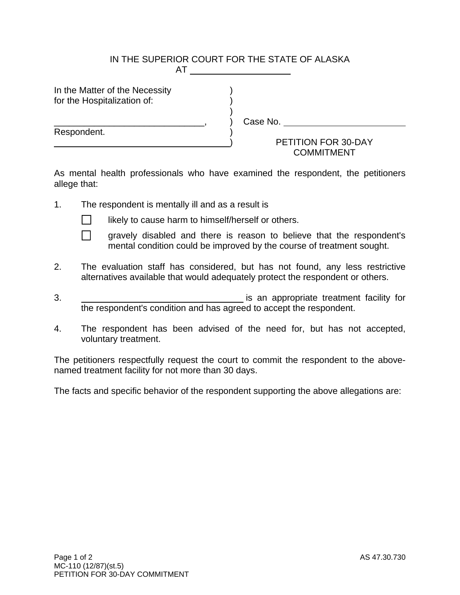## IN THE SUPERIOR COURT FOR THE STATE OF ALASKA **AT A REPORT OF STATE STATE**

In the Matter of the Necessity for the Hospitalization of:

 $)$ 

Respondent.

) Case No.

## ) PETITION FOR 30-DAY **COMMITMENT**

As mental health professionals who have examined the respondent, the petitioners allege that:

1. The respondent is mentally ill and as a result is



 $\Box$  likely to cause harm to himself/herself or others.

- $\Box$  gravely disabled and there is reason to believe that the respondent's mental condition could be improved by the course of treatment sought.
- 2. The evaluation staff has considered, but has not found, any less restrictive alternatives available that would adequately protect the respondent or others.
- 3. is an appropriate treatment facility for the respondent's condition and has agreed to accept the respondent.
- 4. The respondent has been advised of the need for, but has not accepted, voluntary treatment.

The petitioners respectfully request the court to commit the respondent to the abovenamed treatment facility for not more than 30 days.

The facts and specific behavior of the respondent supporting the above allegations are: